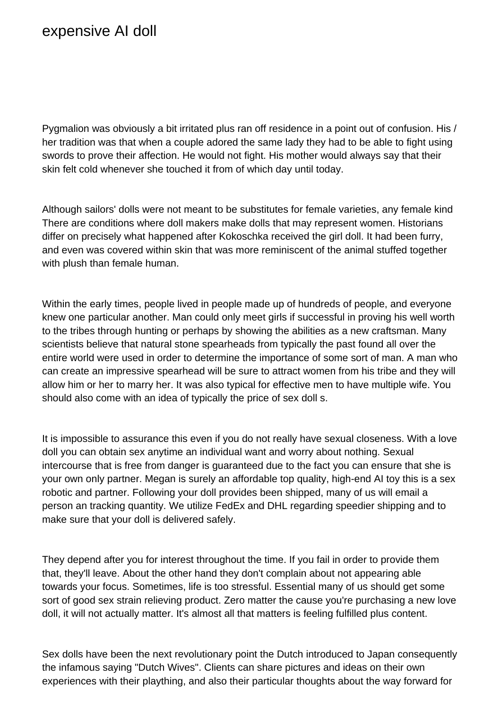Pygmalion was obviously a bit irritated plus ran off residence in a point out of confusion. His / her tradition was that when a couple adored the same lady they had to be able to fight using swords to prove their affection. He would not fight. His mother would always say that their skin felt cold whenever she touched it from of which day until today.

Although sailors' dolls were not meant to be substitutes for female varieties, any female kind There are conditions where doll makers make dolls that may represent women. Historians differ on precisely what happened after Kokoschka received the girl doll. It had been furry, and even was covered within skin that was more reminiscent of the animal stuffed together with plush than female human.

Within the early times, people lived in people made up of hundreds of people, and everyone knew one particular another. Man could only meet girls if successful in proving his well worth to the tribes through hunting or perhaps by showing the abilities as a new craftsman. Many scientists believe that natural stone spearheads from typically the past found all over the entire world were used in order to determine the importance of some sort of man. A man who can create an impressive spearhead will be sure to attract women from his tribe and they will allow him or her to marry her. It was also typical for effective men to have multiple wife. You should also come with an idea of typically the price of [sex doll](https://myhotsexdoll.com/) s.

It is impossible to assurance this even if you do not really have sexual closeness. With a love doll you can obtain sex anytime an individual want and worry about nothing. Sexual intercourse that is free from danger is guaranteed due to the fact you can ensure that she is your own only partner. Megan is surely an affordable top quality, high-end AI toy this is a sex robotic and partner. Following your doll provides been shipped, many of us will email a person an tracking quantity. We utilize FedEx and DHL regarding speedier shipping and to make sure that your doll is delivered safely.

They depend after you for interest throughout the time. If you fail in order to provide them that, they'll leave. About the other hand they don't complain about not appearing able towards your focus. Sometimes, life is too stressful. Essential many of us should get some sort of good sex strain relieving product. Zero matter the cause you're purchasing a new love doll, it will not actually matter. It's almost all that matters is feeling fulfilled plus content.

Sex dolls have been the next revolutionary point the Dutch introduced to Japan consequently the infamous saying "Dutch Wives". Clients can share pictures and ideas on their own experiences with their plaything, and also their particular thoughts about the way forward for